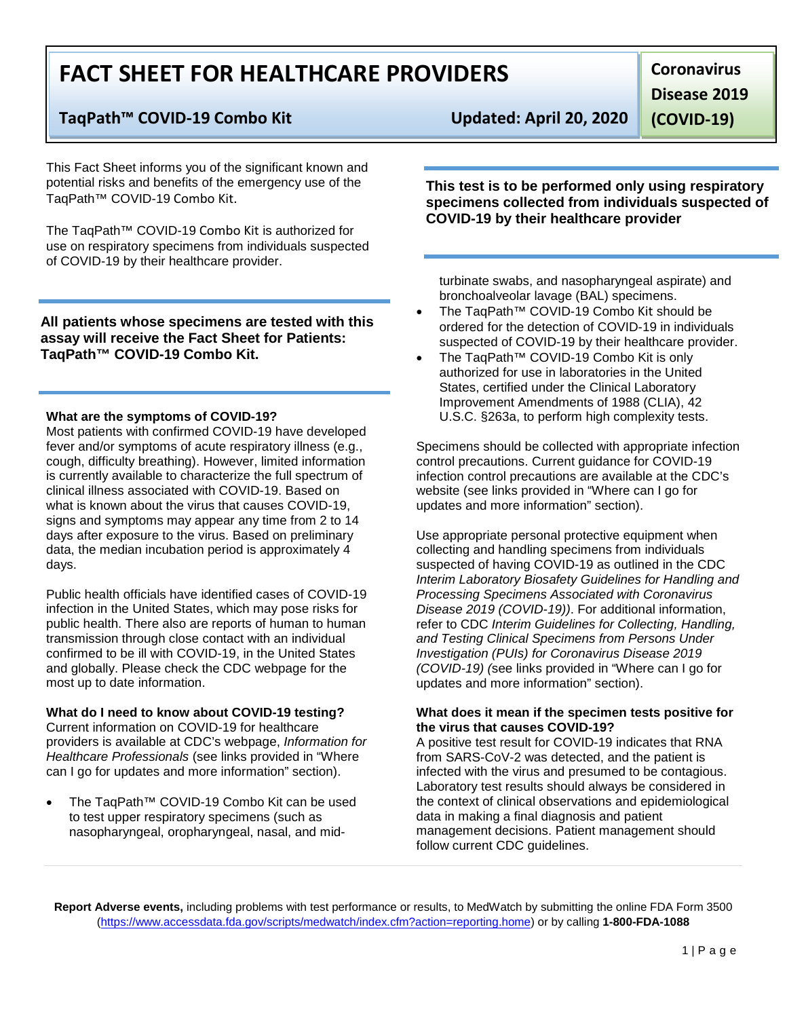# **FACT SHEET FOR HEALTHCARE PROVIDERS**

# **TaqPath™ COVID-19 Combo Kit Updated: April 20, 2020**

This Fact Sheet informs you of the significant known and potential risks and benefits of the emergency use of the TaqPath™ COVID-19 Combo Kit.

The TaqPath™ COVID-19 Combo Kit is authorized for use on respiratory specimens from individuals suspected of COVID-19 by their healthcare provider.

**All patients whose specimens are tested with this assay will receive the Fact Sheet for Patients: TaqPath™ COVID-19 Combo Kit.**

#### **What are the symptoms of COVID-19?**

Most patients with confirmed COVID-19 have developed fever and/or symptoms of acute respiratory illness (e.g., cough, difficulty breathing). However, limited information is currently available to characterize the full spectrum of clinical illness associated with COVID-19. Based on what is known about the virus that causes COVID-19, signs and symptoms may appear any time from 2 to 14 days after exposure to the virus. Based on preliminary data, the median incubation period is approximately 4 days.

Public health officials have identified cases of COVID-19 infection in the United States, which may pose risks for public health. There also are reports of human to human transmission through close contact with an individual confirmed to be ill with COVID-19, in the United States and globally. Please check the CDC webpage for the most up to date information.

## **What do I need to know about COVID-19 testing?**

Current information on COVID-19 for healthcare providers is available at CDC's webpage, *Information for Healthcare Professionals* (see links provided in "Where can I go for updates and more information" section).

• The TaqPath™ COVID-19 Combo Kit can be used to test upper respiratory specimens (such as nasopharyngeal, oropharyngeal, nasal, and mid-

**Disease 2019** 

**(COVID-19)**

**Coronavirus** 

**This test is to be performed only using respiratory specimens collected from individuals suspected of COVID-19 by their healthcare provider**

turbinate swabs, and nasopharyngeal aspirate) and bronchoalveolar lavage (BAL) specimens.

- The TaqPath™ COVID-19 Combo Kit should be ordered for the detection of COVID-19 in individuals suspected of COVID-19 by their healthcare provider.
- The TaqPath™ COVID-19 Combo Kit is only authorized for use in laboratories in the United States, certified under the Clinical Laboratory Improvement Amendments of 1988 (CLIA), 42 U.S.C. §263a, to perform high complexity tests.

Specimens should be collected with appropriate infection control precautions. Current guidance for COVID-19 infection control precautions are available at the CDC's website (see links provided in "Where can I go for updates and more information" section).

Use appropriate personal protective equipment when collecting and handling specimens from individuals suspected of having COVID-19 as outlined in the CDC *Interim Laboratory Biosafety Guidelines for Handling and Processing Specimens Associated with Coronavirus Disease 2019 (COVID-19))*. For additional information, refer to CDC *Interim Guidelines for Collecting, Handling, and Testing Clinical Specimens from Persons Under Investigation (PUIs) for Coronavirus Disease 2019 (COVID-19) (*see links provided in "Where can I go for updates and more information" section).

#### **What does it mean if the specimen tests positive for the virus that causes COVID-19?**

A positive test result for COVID-19 indicates that RNA from SARS-CoV-2 was detected, and the patient is infected with the virus and presumed to be contagious. Laboratory test results should always be considered in the context of clinical observations and epidemiological data in making a final diagnosis and patient management decisions. Patient management should follow current CDC guidelines.

**Report Adverse events,** including problems with test performance or results, to MedWatch by submitting the online FDA Form 3500 [\(https://www.accessdata.fda.gov/scripts/medwatch/index.cfm?action=reporting.home\)](https://www.accessdata.fda.gov/scripts/medwatch/index.cfm?action=reporting.home) or by calling **1-800-FDA-1088**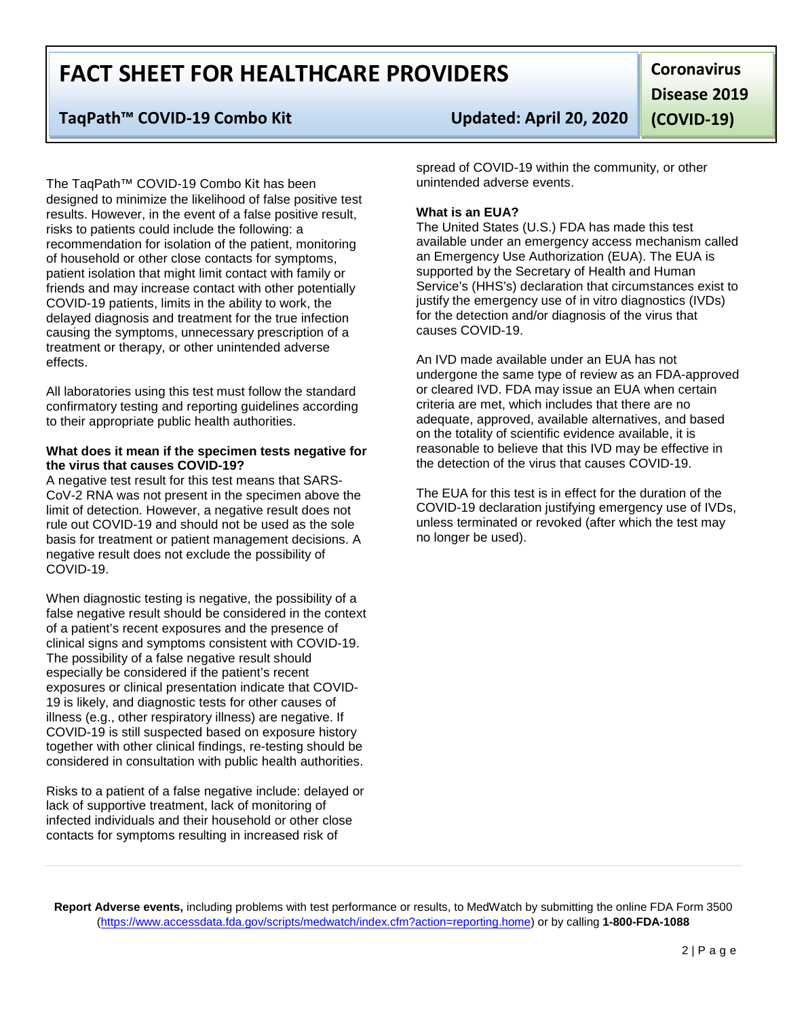# **FACT SHEET FOR HEALTHCARE PROVIDERS**

# **TaqPath™ COVID-19 Combo Kit Updated: April 20, 2020**

The TaqPath™ COVID-19 Combo Kit has been designed to minimize the likelihood of false positive test results. However, in the event of a false positive result, risks to patients could include the following: a recommendation for isolation of the patient, monitoring of household or other close contacts for symptoms, patient isolation that might limit contact with family or friends and may increase contact with other potentially COVID-19 patients, limits in the ability to work, the delayed diagnosis and treatment for the true infection causing the symptoms, unnecessary prescription of a treatment or therapy, or other unintended adverse effects.

All laboratories using this test must follow the standard confirmatory testing and reporting guidelines according to their appropriate public health authorities.

#### **What does it mean if the specimen tests negative for the virus that causes COVID-19?**

A negative test result for this test means that SARS-CoV-2 RNA was not present in the specimen above the limit of detection. However, a negative result does not rule out COVID-19 and should not be used as the sole basis for treatment or patient management decisions. A negative result does not exclude the possibility of COVID-19.

When diagnostic testing is negative, the possibility of a false negative result should be considered in the context of a patient's recent exposures and the presence of clinical signs and symptoms consistent with COVID-19. The possibility of a false negative result should especially be considered if the patient's recent exposures or clinical presentation indicate that COVID-19 is likely, and diagnostic tests for other causes of illness (e.g., other respiratory illness) are negative. If COVID-19 is still suspected based on exposure history together with other clinical findings, re-testing should be considered in consultation with public health authorities.

Risks to a patient of a false negative include: delayed or lack of supportive treatment, lack of monitoring of infected individuals and their household or other close contacts for symptoms resulting in increased risk of

**Coronavirus Disease 2019 (COVID-19)**

spread of COVID-19 within the community, or other unintended adverse events.

## **What is an EUA?**

The United States (U.S.) FDA has made this test available under an emergency access mechanism called an Emergency Use Authorization (EUA). The EUA is supported by the Secretary of Health and Human Service's (HHS's) declaration that circumstances exist to justify the emergency use of in vitro diagnostics (IVDs) for the detection and/or diagnosis of the virus that causes COVID-19.

An IVD made available under an EUA has not undergone the same type of review as an FDA-approved or cleared IVD. FDA may issue an EUA when certain criteria are met, which includes that there are no adequate, approved, available alternatives, and based on the totality of scientific evidence available, it is reasonable to believe that this IVD may be effective in the detection of the virus that causes COVID-19.

The EUA for this test is in effect for the duration of the COVID-19 declaration justifying emergency use of IVDs, unless terminated or revoked (after which the test may no longer be used).

**Report Adverse events,** including problems with test performance or results, to MedWatch by submitting the online FDA Form 3500 [\(https://www.accessdata.fda.gov/scripts/medwatch/index.cfm?action=reporting.home\)](https://www.accessdata.fda.gov/scripts/medwatch/index.cfm?action=reporting.home) or by calling **1-800-FDA-1088**